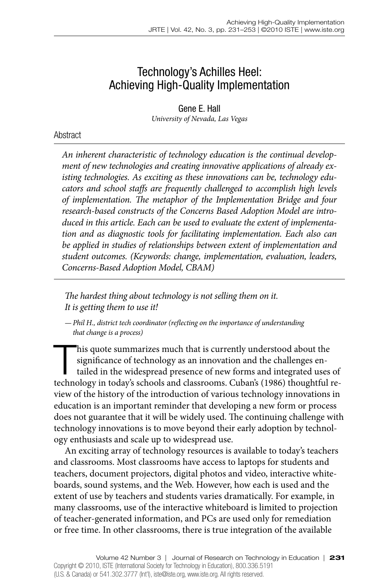# Technology's Achilles Heel: Achieving High-Quality Implementation

Gene E. Hall *University of Nevada, Las Vegas*

### Abstract

*An inherent characteristic of technology education is the continual development of new technologies and creating innovative applications of already existing technologies. As exciting as these innovations can be, technology educators and school staffs are frequently challenged to accomplish high levels of implementation. The metaphor of the Implementation Bridge and four research-based constructs of the Concerns Based Adoption Model are introduced in this article. Each can be used to evaluate the extent of implementation and as diagnostic tools for facilitating implementation. Each also can be applied in studies of relationships between extent of implementation and student outcomes. (Keywords: change, implementation, evaluation, leaders, Concerns-Based Adoption Model, CBAM)*

*The hardest thing about technology is not selling them on it. It is getting them to use it!* 

*—Phil H., district tech coordinator (reflecting on the importance of understanding that change is a process)*

This quote summarizes much that is currently understood about the significance of technology as an innovation and the challenges entailed in the widespread presence of new forms and integrated uses significance of technology as an innovation and the challenges entailed in the widespread presence of new forms and integrated uses of technology in today's schools and classrooms. Cuban's (1986) thoughtful review of the history of the introduction of various technology innovations in education is an important reminder that developing a new form or process does not guarantee that it will be widely used. The continuing challenge with technology innovations is to move beyond their early adoption by technology enthusiasts and scale up to widespread use.

An exciting array of technology resources is available to today's teachers and classrooms. Most classrooms have access to laptops for students and teachers, document projectors, digital photos and video, interactive whiteboards, sound systems, and the Web. However, how each is used and the extent of use by teachers and students varies dramatically. For example, in many classrooms, use of the interactive whiteboard is limited to projection of teacher-generated information, and PCs are used only for remediation or free time. In other classrooms, there is true integration of the available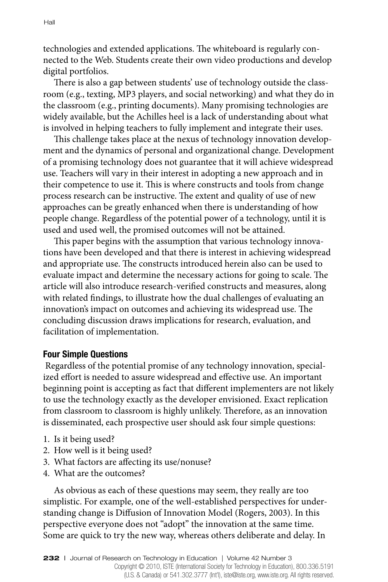technologies and extended applications. The whiteboard is regularly connected to the Web. Students create their own video productions and develop digital portfolios.

There is also a gap between students' use of technology outside the classroom (e.g., texting, MP3 players, and social networking) and what they do in the classroom (e.g., printing documents). Many promising technologies are widely available, but the Achilles heel is a lack of understanding about what is involved in helping teachers to fully implement and integrate their uses.

This challenge takes place at the nexus of technology innovation development and the dynamics of personal and organizational change. Development of a promising technology does not guarantee that it will achieve widespread use. Teachers will vary in their interest in adopting a new approach and in their competence to use it. This is where constructs and tools from change process research can be instructive. The extent and quality of use of new approaches can be greatly enhanced when there is understanding of how people change. Regardless of the potential power of a technology, until it is used and used well, the promised outcomes will not be attained.

This paper begins with the assumption that various technology innovations have been developed and that there is interest in achieving widespread and appropriate use. The constructs introduced herein also can be used to evaluate impact and determine the necessary actions for going to scale. The article will also introduce research-verified constructs and measures, along with related findings, to illustrate how the dual challenges of evaluating an innovation's impact on outcomes and achieving its widespread use. The concluding discussion draws implications for research, evaluation, and facilitation of implementation.

### Four Simple Questions

 Regardless of the potential promise of any technology innovation, specialized effort is needed to assure widespread and effective use. An important beginning point is accepting as fact that different implementers are not likely to use the technology exactly as the developer envisioned. Exact replication from classroom to classroom is highly unlikely. Therefore, as an innovation is disseminated, each prospective user should ask four simple questions:

- 1. Is it being used?
- 2. How well is it being used?
- 3. What factors are affecting its use/nonuse?
- 4. What are the outcomes?

As obvious as each of these questions may seem, they really are too simplistic. For example, one of the well-established perspectives for understanding change is Diffusion of Innovation Model (Rogers, 2003). In this perspective everyone does not "adopt" the innovation at the same time. Some are quick to try the new way, whereas others deliberate and delay. In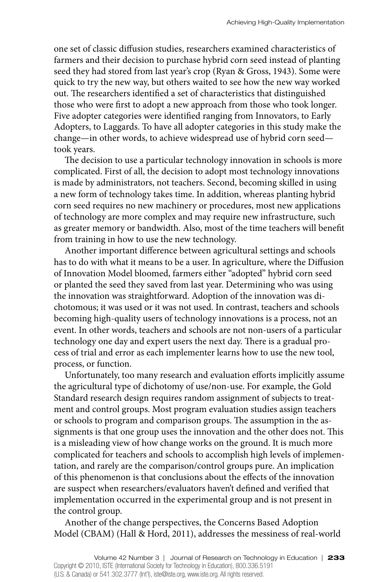one set of classic diffusion studies, researchers examined characteristics of farmers and their decision to purchase hybrid corn seed instead of planting seed they had stored from last year's crop (Ryan & Gross, 1943). Some were quick to try the new way, but others waited to see how the new way worked out. The researchers identified a set of characteristics that distinguished those who were first to adopt a new approach from those who took longer. Five adopter categories were identified ranging from Innovators, to Early Adopters, to Laggards. To have all adopter categories in this study make the change—in other words, to achieve widespread use of hybrid corn seed took years.

The decision to use a particular technology innovation in schools is more complicated. First of all, the decision to adopt most technology innovations is made by administrators, not teachers. Second, becoming skilled in using a new form of technology takes time. In addition, whereas planting hybrid corn seed requires no new machinery or procedures, most new applications of technology are more complex and may require new infrastructure, such as greater memory or bandwidth. Also, most of the time teachers will benefit from training in how to use the new technology.

Another important difference between agricultural settings and schools has to do with what it means to be a user. In agriculture, where the Diffusion of Innovation Model bloomed, farmers either "adopted" hybrid corn seed or planted the seed they saved from last year. Determining who was using the innovation was straightforward. Adoption of the innovation was dichotomous; it was used or it was not used. In contrast, teachers and schools becoming high-quality users of technology innovations is a process, not an event. In other words, teachers and schools are not non-users of a particular technology one day and expert users the next day. There is a gradual process of trial and error as each implementer learns how to use the new tool, process, or function.

Unfortunately, too many research and evaluation efforts implicitly assume the agricultural type of dichotomy of use/non-use. For example, the Gold Standard research design requires random assignment of subjects to treatment and control groups. Most program evaluation studies assign teachers or schools to program and comparison groups. The assumption in the assignments is that one group uses the innovation and the other does not. This is a misleading view of how change works on the ground. It is much more complicated for teachers and schools to accomplish high levels of implementation, and rarely are the comparison/control groups pure. An implication of this phenomenon is that conclusions about the effects of the innovation are suspect when researchers/evaluators haven't defined and verified that implementation occurred in the experimental group and is not present in the control group.

Another of the change perspectives, the Concerns Based Adoption Model (CBAM) (Hall & Hord, 2011), addresses the messiness of real-world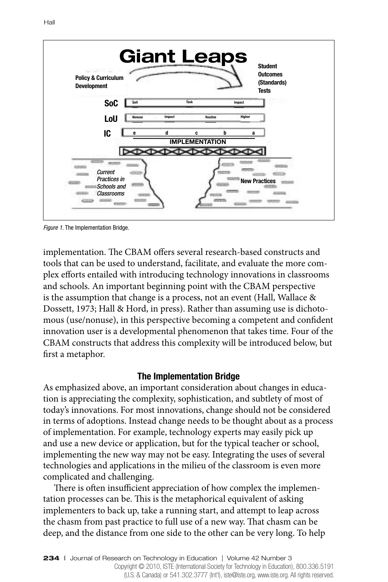

*Figure 1.* The Implementation Bridge.

implementation. The CBAM offers several research-based constructs and tools that can be used to understand, facilitate, and evaluate the more complex efforts entailed with introducing technology innovations in classrooms and schools. An important beginning point with the CBAM perspective is the assumption that change is a process, not an event (Hall, Wallace & Dossett, 1973; Hall & Hord, in press). Rather than assuming use is dichotomous (use/nonuse), in this perspective becoming a competent and confident innovation user is a developmental phenomenon that takes time. Four of the CBAM constructs that address this complexity will be introduced below, but first a metaphor.

# The Implementation Bridge

As emphasized above, an important consideration about changes in education is appreciating the complexity, sophistication, and subtlety of most of today's innovations. For most innovations, change should not be considered in terms of adoptions. Instead change needs to be thought about as a process of implementation. For example, technology experts may easily pick up and use a new device or application, but for the typical teacher or school, implementing the new way may not be easy. Integrating the uses of several technologies and applications in the milieu of the classroom is even more complicated and challenging.

There is often insufficient appreciation of how complex the implementation processes can be. This is the metaphorical equivalent of asking implementers to back up, take a running start, and attempt to leap across the chasm from past practice to full use of a new way. That chasm can be deep, and the distance from one side to the other can be very long. To help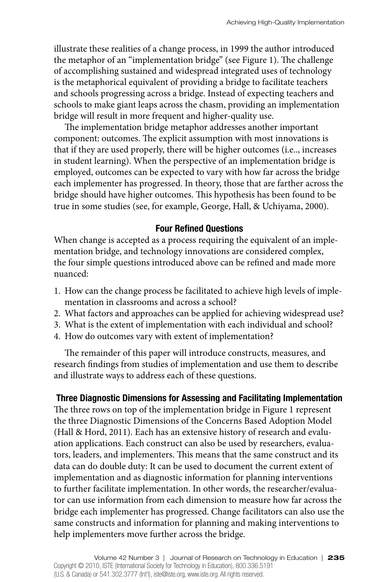illustrate these realities of a change process, in 1999 the author introduced the metaphor of an "implementation bridge" (see Figure 1). The challenge of accomplishing sustained and widespread integrated uses of technology is the metaphorical equivalent of providing a bridge to facilitate teachers and schools progressing across a bridge. Instead of expecting teachers and schools to make giant leaps across the chasm, providing an implementation bridge will result in more frequent and higher-quality use.

The implementation bridge metaphor addresses another important component: outcomes. The explicit assumption with most innovations is that if they are used properly, there will be higher outcomes (i.e.., increases in student learning). When the perspective of an implementation bridge is employed, outcomes can be expected to vary with how far across the bridge each implementer has progressed. In theory, those that are farther across the bridge should have higher outcomes. This hypothesis has been found to be true in some studies (see, for example, George, Hall, & Uchiyama, 2000).

### Four Refined Questions

When change is accepted as a process requiring the equivalent of an implementation bridge, and technology innovations are considered complex, the four simple questions introduced above can be refined and made more nuanced:

- 1. How can the change process be facilitated to achieve high levels of implementation in classrooms and across a school?
- 2. What factors and approaches can be applied for achieving widespread use?
- 3. What is the extent of implementation with each individual and school?
- 4. How do outcomes vary with extent of implementation?

The remainder of this paper will introduce constructs, measures, and research findings from studies of implementation and use them to describe and illustrate ways to address each of these questions.

### Three Diagnostic Dimensions for Assessing and Facilitating Implementation

The three rows on top of the implementation bridge in Figure 1 represent the three Diagnostic Dimensions of the Concerns Based Adoption Model (Hall & Hord, 2011). Each has an extensive history of research and evaluation applications. Each construct can also be used by researchers, evaluators, leaders, and implementers. This means that the same construct and its data can do double duty: It can be used to document the current extent of implementation and as diagnostic information for planning interventions to further facilitate implementation. In other words, the researcher/evaluator can use information from each dimension to measure how far across the bridge each implementer has progressed. Change facilitators can also use the same constructs and information for planning and making interventions to help implementers move further across the bridge.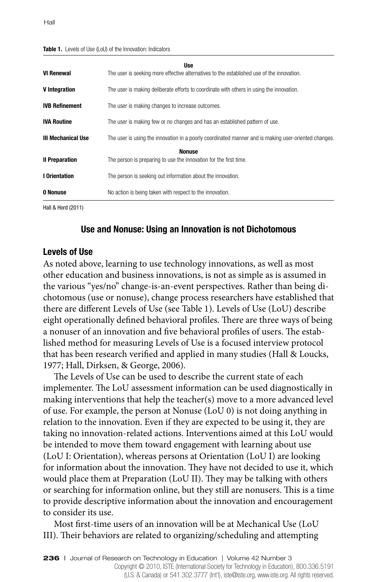|  |  | Table 1. Levels of Use (LoU) of the Innovation: Indicators |  |
|--|--|------------------------------------------------------------|--|
|  |  |                                                            |  |

| <b>Use</b>                |                                                                                                      |  |  |
|---------------------------|------------------------------------------------------------------------------------------------------|--|--|
| <b>VI Renewal</b>         | The user is seeking more effective alternatives to the established use of the innovation.            |  |  |
| <b>V</b> Integration      | The user is making deliberate efforts to coordinate with others in using the innovation.             |  |  |
| <b>IVB Refinement</b>     | The user is making changes to increase outcomes.                                                     |  |  |
| <b>IVA Routine</b>        | The user is making few or no changes and has an established pattern of use.                          |  |  |
| <b>III Mechanical Use</b> | The user is using the innovation in a poorly coordinated manner and is making user-oriented changes. |  |  |
|                           | <b>Nonuse</b>                                                                                        |  |  |
| <b>Il Preparation</b>     | The person is preparing to use the innovation for the first time.                                    |  |  |
| I Orientation             | The person is seeking out information about the innovation.                                          |  |  |
| <b>0 Nonuse</b>           | No action is being taken with respect to the innovation.                                             |  |  |
|                           |                                                                                                      |  |  |

Hall & Hord (2011)

#### Use and Nonuse: Using an Innovation is not Dichotomous

#### Levels of Use

As noted above, learning to use technology innovations, as well as most other education and business innovations, is not as simple as is assumed in the various "yes/no" change-is-an-event perspectives. Rather than being dichotomous (use or nonuse), change process researchers have established that there are different Levels of Use (see Table 1). Levels of Use (LoU) describe eight operationally defined behavioral profiles. There are three ways of being a nonuser of an innovation and five behavioral profiles of users. The established method for measuring Levels of Use is a focused interview protocol that has been research verified and applied in many studies (Hall & Loucks, 1977; Hall, Dirksen, & George, 2006).

The Levels of Use can be used to describe the current state of each implementer. The LoU assessment information can be used diagnostically in making interventions that help the teacher(s) move to a more advanced level of use. For example, the person at Nonuse (LoU 0) is not doing anything in relation to the innovation. Even if they are expected to be using it, they are taking no innovation-related actions. Interventions aimed at this LoU would be intended to move them toward engagement with learning about use (LoU I: Orientation), whereas persons at Orientation (LoU I) are looking for information about the innovation. They have not decided to use it, which would place them at Preparation (LoU II). They may be talking with others or searching for information online, but they still are nonusers. This is a time to provide descriptive information about the innovation and encouragement to consider its use.

Most first-time users of an innovation will be at Mechanical Use (LoU III). Their behaviors are related to organizing/scheduling and attempting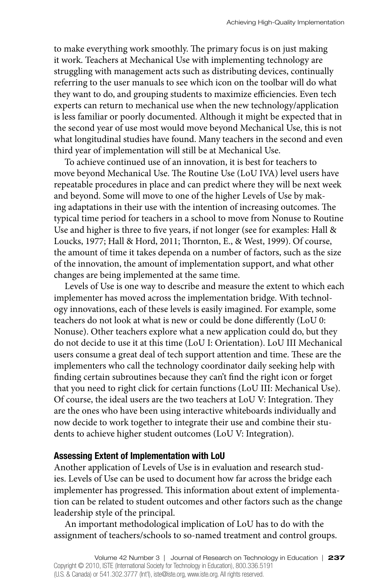to make everything work smoothly. The primary focus is on just making it work. Teachers at Mechanical Use with implementing technology are struggling with management acts such as distributing devices, continually referring to the user manuals to see which icon on the toolbar will do what they want to do, and grouping students to maximize efficiencies. Even tech experts can return to mechanical use when the new technology/application is less familiar or poorly documented. Although it might be expected that in the second year of use most would move beyond Mechanical Use, this is not what longitudinal studies have found. Many teachers in the second and even third year of implementation will still be at Mechanical Use.

To achieve continued use of an innovation, it is best for teachers to move beyond Mechanical Use. The Routine Use (LoU IVA) level users have repeatable procedures in place and can predict where they will be next week and beyond. Some will move to one of the higher Levels of Use by making adaptations in their use with the intention of increasing outcomes. The typical time period for teachers in a school to move from Nonuse to Routine Use and higher is three to five years, if not longer (see for examples: Hall & Loucks, 1977; Hall & Hord, 2011; Thornton, E., & West, 1999). Of course, the amount of time it takes dependa on a number of factors, such as the size of the innovation, the amount of implementation support, and what other changes are being implemented at the same time.

Levels of Use is one way to describe and measure the extent to which each implementer has moved across the implementation bridge. With technology innovations, each of these levels is easily imagined. For example, some teachers do not look at what is new or could be done differently (LoU 0: Nonuse). Other teachers explore what a new application could do, but they do not decide to use it at this time (LoU I: Orientation). LoU III Mechanical users consume a great deal of tech support attention and time. These are the implementers who call the technology coordinator daily seeking help with finding certain subroutines because they can't find the right icon or forget that you need to right click for certain functions (LoU III: Mechanical Use). Of course, the ideal users are the two teachers at LoU V: Integration. They are the ones who have been using interactive whiteboards individually and now decide to work together to integrate their use and combine their students to achieve higher student outcomes (LoU V: Integration).

### Assessing Extent of Implementation with LoU

Another application of Levels of Use is in evaluation and research studies. Levels of Use can be used to document how far across the bridge each implementer has progressed. This information about extent of implementation can be related to student outcomes and other factors such as the change leadership style of the principal.

An important methodological implication of LoU has to do with the assignment of teachers/schools to so-named treatment and control groups.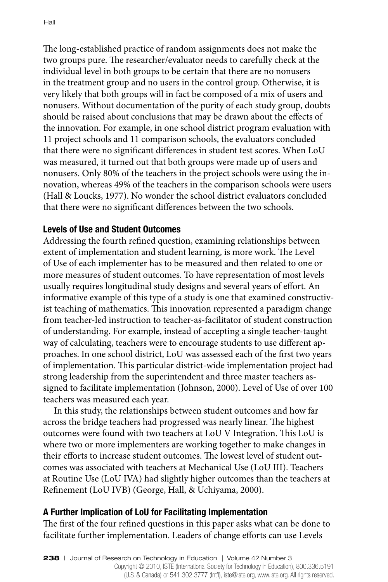The long-established practice of random assignments does not make the two groups pure. The researcher/evaluator needs to carefully check at the individual level in both groups to be certain that there are no nonusers in the treatment group and no users in the control group. Otherwise, it is very likely that both groups will in fact be composed of a mix of users and nonusers. Without documentation of the purity of each study group, doubts should be raised about conclusions that may be drawn about the effects of the innovation. For example, in one school district program evaluation with 11 project schools and 11 comparison schools, the evaluators concluded that there were no significant differences in student test scores. When LoU was measured, it turned out that both groups were made up of users and nonusers. Only 80% of the teachers in the project schools were using the innovation, whereas 49% of the teachers in the comparison schools were users (Hall & Loucks, 1977). No wonder the school district evaluators concluded that there were no significant differences between the two schools.

### Levels of Use and Student Outcomes

Addressing the fourth refined question, examining relationships between extent of implementation and student learning, is more work. The Level of Use of each implementer has to be measured and then related to one or more measures of student outcomes. To have representation of most levels usually requires longitudinal study designs and several years of effort. An informative example of this type of a study is one that examined constructivist teaching of mathematics. This innovation represented a paradigm change from teacher-led instruction to teacher-as-facilitator of student construction of understanding. For example, instead of accepting a single teacher-taught way of calculating, teachers were to encourage students to use different approaches. In one school district, LoU was assessed each of the first two years of implementation. This particular district-wide implementation project had strong leadership from the superintendent and three master teachers assigned to facilitate implementation (Johnson, 2000). Level of Use of over 100 teachers was measured each year.

In this study, the relationships between student outcomes and how far across the bridge teachers had progressed was nearly linear. The highest outcomes were found with two teachers at LoU V Integration. This LoU is where two or more implementers are working together to make changes in their efforts to increase student outcomes. The lowest level of student outcomes was associated with teachers at Mechanical Use (LoU III). Teachers at Routine Use (LoU IVA) had slightly higher outcomes than the teachers at Refinement (LoU IVB) (George, Hall, & Uchiyama, 2000).

# A Further Implication of LoU for Facilitating Implementation

The first of the four refined questions in this paper asks what can be done to facilitate further implementation. Leaders of change efforts can use Levels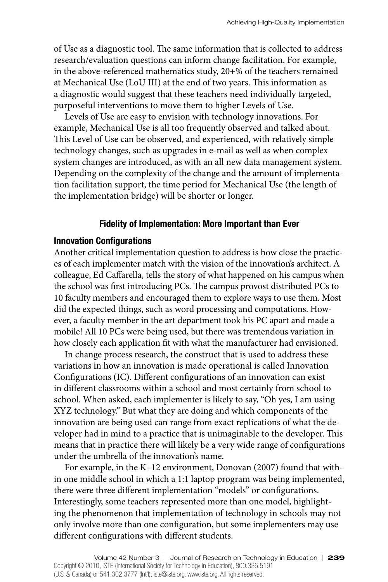of Use as a diagnostic tool. The same information that is collected to address research/evaluation questions can inform change facilitation. For example, in the above-referenced mathematics study, 20+% of the teachers remained at Mechanical Use (LoU III) at the end of two years. This information as a diagnostic would suggest that these teachers need individually targeted, purposeful interventions to move them to higher Levels of Use.

Levels of Use are easy to envision with technology innovations. For example, Mechanical Use is all too frequently observed and talked about. This Level of Use can be observed, and experienced, with relatively simple technology changes, such as upgrades in e-mail as well as when complex system changes are introduced, as with an all new data management system. Depending on the complexity of the change and the amount of implementation facilitation support, the time period for Mechanical Use (the length of the implementation bridge) will be shorter or longer.

### Fidelity of Implementation: More Important than Ever

### Innovation Configurations

Another critical implementation question to address is how close the practices of each implementer match with the vision of the innovation's architect. A colleague, Ed Caffarella, tells the story of what happened on his campus when the school was first introducing PCs. The campus provost distributed PCs to 10 faculty members and encouraged them to explore ways to use them. Most did the expected things, such as word processing and computations. However, a faculty member in the art department took his PC apart and made a mobile! All 10 PCs were being used, but there was tremendous variation in how closely each application fit with what the manufacturer had envisioned.

In change process research, the construct that is used to address these variations in how an innovation is made operational is called Innovation Configurations (IC). Different configurations of an innovation can exist in different classrooms within a school and most certainly from school to school. When asked, each implementer is likely to say, "Oh yes, I am using XYZ technology." But what they are doing and which components of the innovation are being used can range from exact replications of what the developer had in mind to a practice that is unimaginable to the developer. This means that in practice there will likely be a very wide range of configurations under the umbrella of the innovation's name.

For example, in the K–12 environment, Donovan (2007) found that within one middle school in which a 1:1 laptop program was being implemented, there were three different implementation "models" or configurations. Interestingly, some teachers represented more than one model, highlighting the phenomenon that implementation of technology in schools may not only involve more than one configuration, but some implementers may use different configurations with different students.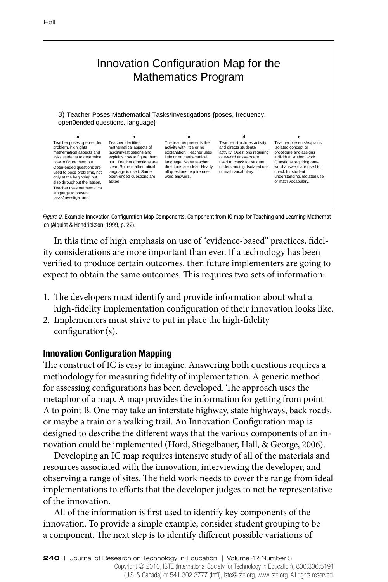| Innovation Configuration Map for the<br><b>Mathematics Program</b>                                                                                                                                                                                                                                                                      |                                                                                                                                                                                                                                            |                                                                                                                                                                                                                           |                                                                                                                                                                                                  |                                                                                                                                                                                                                                          |
|-----------------------------------------------------------------------------------------------------------------------------------------------------------------------------------------------------------------------------------------------------------------------------------------------------------------------------------------|--------------------------------------------------------------------------------------------------------------------------------------------------------------------------------------------------------------------------------------------|---------------------------------------------------------------------------------------------------------------------------------------------------------------------------------------------------------------------------|--------------------------------------------------------------------------------------------------------------------------------------------------------------------------------------------------|------------------------------------------------------------------------------------------------------------------------------------------------------------------------------------------------------------------------------------------|
|                                                                                                                                                                                                                                                                                                                                         | 3) Teacher Poses Mathematical Tasks/Investigations {poses, frequency,<br>open0ended questions, language}                                                                                                                                   |                                                                                                                                                                                                                           |                                                                                                                                                                                                  |                                                                                                                                                                                                                                          |
| a                                                                                                                                                                                                                                                                                                                                       | h                                                                                                                                                                                                                                          | c                                                                                                                                                                                                                         | Ч                                                                                                                                                                                                | e                                                                                                                                                                                                                                        |
| Teacher poses open-ended<br>problem, highlights<br>mathematical aspects and<br>asks students to determine<br>how to figure them out.<br>Open-ended questions are<br>used to pose problems, not<br>only at the beginning but<br>also throughout the lesson.<br>Teacher uses mathematical<br>language to present<br>tasks/investigations. | <b>Teacher identifies</b><br>mathematical aspects of<br>tasks/investigations and<br>explains how to figure them<br>out. Teacher directions are<br>clear. Some mathematical<br>language is used. Some<br>open-ended questions are<br>asked. | The teacher presents the<br>activity with little or no<br>explanation. Teacher uses<br>little or no mathematical<br>language. Some teacher<br>directions are clear. Nearly<br>all questions require one-<br>word answers. | Teacher structures activity<br>and directs students/<br>activity. Questions requiring<br>one-word answers are<br>used to check for student<br>understanding. Isolated use<br>of math vocabulary. | Teacher presents/explains<br>isolated concept or<br>procedure and assigns<br>individual student work.<br>Questions requiring one-<br>word answers are used to<br>check for student<br>understanding, Isolated use<br>of math vocabulary. |

*Figure 2.* Example Innovation Configuration Map Components. Component from IC map for Teaching and Learning Mathematics (Alquist & Hendrickson, 1999, p. 22).

In this time of high emphasis on use of "evidence-based" practices, fidelity considerations are more important than ever. If a technology has been verified to produce certain outcomes, then future implementers are going to expect to obtain the same outcomes. This requires two sets of information:

- 1. The developers must identify and provide information about what a high-fidelity implementation configuration of their innovation looks like.
- 2. Implementers must strive to put in place the high-fidelity configuration(s).

### Innovation Configuration Mapping

The construct of IC is easy to imagine. Answering both questions requires a methodology for measuring fidelity of implementation. A generic method for assessing configurations has been developed. The approach uses the metaphor of a map. A map provides the information for getting from point A to point B. One may take an interstate highway, state highways, back roads, or maybe a train or a walking trail. An Innovation Configuration map is designed to describe the different ways that the various components of an innovation could be implemented (Hord, Stiegelbauer, Hall, & George, 2006).

Developing an IC map requires intensive study of all of the materials and resources associated with the innovation, interviewing the developer, and observing a range of sites. The field work needs to cover the range from ideal implementations to efforts that the developer judges to not be representative of the innovation.

All of the information is first used to identify key components of the innovation. To provide a simple example, consider student grouping to be a component. The next step is to identify different possible variations of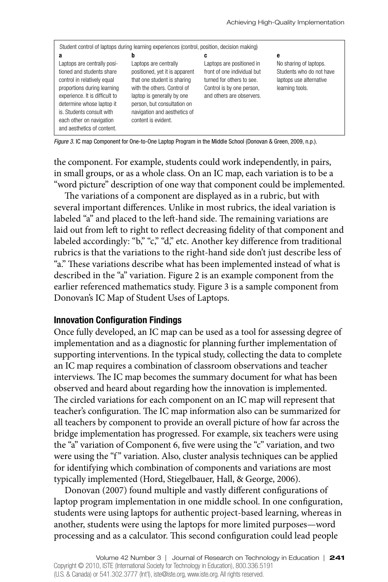| Student control of laptops during learning experiences (control, position, decision making)                                                                                                                                                                                       |                                                                                                                                                                                                                                                |                                                                                                                                                      |                                                                                                       |
|-----------------------------------------------------------------------------------------------------------------------------------------------------------------------------------------------------------------------------------------------------------------------------------|------------------------------------------------------------------------------------------------------------------------------------------------------------------------------------------------------------------------------------------------|------------------------------------------------------------------------------------------------------------------------------------------------------|-------------------------------------------------------------------------------------------------------|
| a<br>Laptops are centrally posi-<br>tioned and students share<br>control in relatively equal<br>proportions during learning<br>experience. It is difficult to<br>determine whose laptop it<br>is. Students consult with<br>each other on navigation<br>and aesthetics of content. | b<br>Laptops are centrally<br>positioned, yet it is apparent<br>that one student is sharing<br>with the others. Control of<br>laptop is generally by one<br>person, but consultation on<br>navigation and aesthetics of<br>content is evident. | c<br>Laptops are positioned in<br>front of one individual but<br>turned for others to see.<br>Control is by one person,<br>and others are observers. | е<br>No sharing of laptops.<br>Students who do not have<br>laptops use alternative<br>learning tools. |

*Figure 3.* IC map Component for One-to-One Laptop Program in the Middle School (Donovan & Green, 2009, n.p.).

the component. For example, students could work independently, in pairs, in small groups, or as a whole class. On an IC map, each variation is to be a "word picture" description of one way that component could be implemented.

The variations of a component are displayed as in a rubric, but with several important differences. Unlike in most rubrics, the ideal variation is labeled "a" and placed to the left-hand side. The remaining variations are laid out from left to right to reflect decreasing fidelity of that component and labeled accordingly: "b," "c," "d," etc. Another key difference from traditional rubrics is that the variations to the right-hand side don't just describe less of "a." These variations describe what has been implemented instead of what is described in the "a" variation. Figure 2 is an example component from the earlier referenced mathematics study. Figure 3 is a sample component from Donovan's IC Map of Student Uses of Laptops.

### Innovation Configuration Findings

Once fully developed, an IC map can be used as a tool for assessing degree of implementation and as a diagnostic for planning further implementation of supporting interventions. In the typical study, collecting the data to complete an IC map requires a combination of classroom observations and teacher interviews. The IC map becomes the summary document for what has been observed and heard about regarding how the innovation is implemented. The circled variations for each component on an IC map will represent that teacher's configuration. The IC map information also can be summarized for all teachers by component to provide an overall picture of how far across the bridge implementation has progressed. For example, six teachers were using the "a" variation of Component 6, five were using the "c" variation, and two were using the "f" variation. Also, cluster analysis techniques can be applied for identifying which combination of components and variations are most typically implemented (Hord, Stiegelbauer, Hall, & George, 2006).

Donovan (2007) found multiple and vastly different configurations of laptop program implementation in one middle school. In one configuration, students were using laptops for authentic project-based learning, whereas in another, students were using the laptops for more limited purposes—word processing and as a calculator. This second configuration could lead people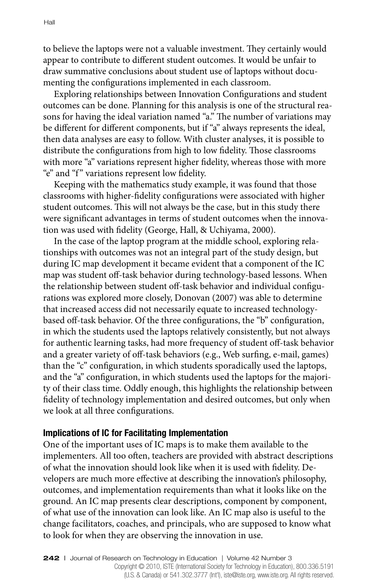to believe the laptops were not a valuable investment. They certainly would appear to contribute to different student outcomes. It would be unfair to draw summative conclusions about student use of laptops without docu-

menting the configurations implemented in each classroom.

Exploring relationships between Innovation Configurations and student outcomes can be done. Planning for this analysis is one of the structural reasons for having the ideal variation named "a." The number of variations may be different for different components, but if "a" always represents the ideal, then data analyses are easy to follow. With cluster analyses, it is possible to distribute the configurations from high to low fidelity. Those classrooms with more "a" variations represent higher fidelity, whereas those with more "e" and "f" variations represent low fidelity.

Keeping with the mathematics study example, it was found that those classrooms with higher-fidelity configurations were associated with higher student outcomes. This will not always be the case, but in this study there were significant advantages in terms of student outcomes when the innovation was used with fidelity (George, Hall, & Uchiyama, 2000).

In the case of the laptop program at the middle school, exploring relationships with outcomes was not an integral part of the study design, but during IC map development it became evident that a component of the IC map was student off-task behavior during technology-based lessons. When the relationship between student off-task behavior and individual configurations was explored more closely, Donovan (2007) was able to determine that increased access did not necessarily equate to increased technologybased off-task behavior. Of the three configurations, the "b" configuration, in which the students used the laptops relatively consistently, but not always for authentic learning tasks, had more frequency of student off-task behavior and a greater variety of off-task behaviors (e.g., Web surfing, e-mail, games) than the "c" configuration, in which students sporadically used the laptops, and the "a" configuration, in which students used the laptops for the majority of their class time. Oddly enough, this highlights the relationship between fidelity of technology implementation and desired outcomes, but only when we look at all three configurations.

#### Implications of IC for Facilitating Implementation

One of the important uses of IC maps is to make them available to the implementers. All too often, teachers are provided with abstract descriptions of what the innovation should look like when it is used with fidelity. Developers are much more effective at describing the innovation's philosophy, outcomes, and implementation requirements than what it looks like on the ground. An IC map presents clear descriptions, component by component, of what use of the innovation can look like. An IC map also is useful to the change facilitators, coaches, and principals, who are supposed to know what to look for when they are observing the innovation in use.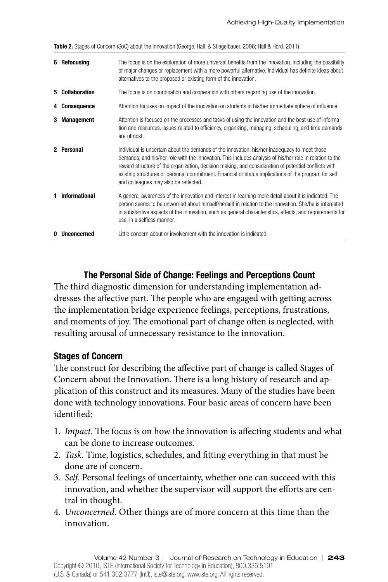Table 2. Stages of Concern (SoC) about the Innovation (George, Hall, & Stiegelbauer, 2006; Hall & Hord, 2011).

| 6 | <b>Refocusing</b>    | The focus is on the exploration of more universal benefits from the innovation, including the possibility<br>of major changes or replacement with a more powerful alternative. Individual has definite ideas about<br>alternatives to the proposed or existing form of the innovation.                                                                                                                                                                             |
|---|----------------------|--------------------------------------------------------------------------------------------------------------------------------------------------------------------------------------------------------------------------------------------------------------------------------------------------------------------------------------------------------------------------------------------------------------------------------------------------------------------|
| 5 | <b>Collaboration</b> | The focus is on coordination and cooperation with others regarding use of the innovation.                                                                                                                                                                                                                                                                                                                                                                          |
|   | <b>Consequence</b>   | Attention focuses on impact of the innovation on students in his/her immediate sphere of influence.                                                                                                                                                                                                                                                                                                                                                                |
| 3 | <b>Management</b>    | Attention is focused on the processes and tasks of using the innovation and the best use of informa-<br>tion and resources. Issues related to efficiency, organizing, managing, scheduling, and time demands<br>are utmost.                                                                                                                                                                                                                                        |
|   | 2 Personal           | Individual is uncertain about the demands of the innovation, his/her inadequacy to meet those<br>demands, and his/her role with the innovation. This includes analysis of his/her role in relation to the<br>reward structure of the organization, decision making, and consideration of potential conflicts with<br>existing structures or personal commitment. Financial or status implications of the program for self<br>and colleagues may also be reflected. |
|   | <b>Informational</b> | A general awareness of the innovation and interest in learning more detail about it is indicated. The<br>person seems to be unworried about himself/herself in relation to the innovation. She/he is interested<br>in substantive aspects of the innovation, such as general characteristics, effects, and requirements for<br>use, in a selfless manner.                                                                                                          |
|   | <b>Unconcerned</b>   | Little concern about or involvement with the innovation is indicated.                                                                                                                                                                                                                                                                                                                                                                                              |

### The Personal Side of Change: Feelings and Perceptions Count

The third diagnostic dimension for understanding implementation addresses the affective part. The people who are engaged with getting across the implementation bridge experience feelings, perceptions, frustrations, and moments of joy. The emotional part of change often is neglected, with resulting arousal of unnecessary resistance to the innovation.

#### Stages of Concern

The construct for describing the affective part of change is called Stages of Concern about the Innovation. There is a long history of research and application of this construct and its measures. Many of the studies have been done with technology innovations. Four basic areas of concern have been identified:

- 1. *Impact.* The focus is on how the innovation is affecting students and what can be done to increase outcomes.
- 2. *Task*. Time, logistics, schedules, and fitting everything in that must be done are of concern.
- 3. *Self*. Personal feelings of uncertainty, whether one can succeed with this innovation, and whether the supervisor will support the efforts are central in thought.
- 4. *Unconcerned*. Other things are of more concern at this time than the innovation.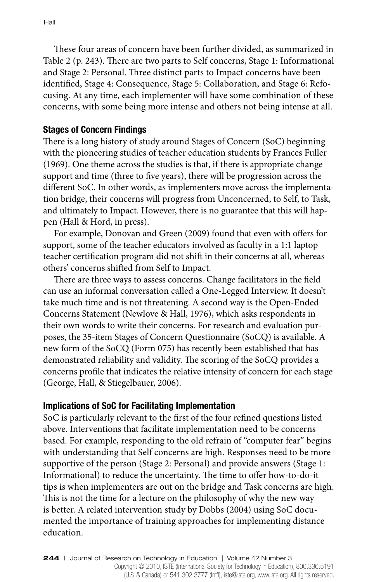These four areas of concern have been further divided, as summarized in Table 2 (p. 243). There are two parts to Self concerns, Stage 1: Informational and Stage 2: Personal. Three distinct parts to Impact concerns have been identified, Stage 4: Consequence, Stage 5: Collaboration, and Stage 6: Refocusing. At any time, each implementer will have some combination of these concerns, with some being more intense and others not being intense at all.

### Stages of Concern Findings

There is a long history of study around Stages of Concern (SoC) beginning with the pioneering studies of teacher education students by Frances Fuller (1969). One theme across the studies is that, if there is appropriate change support and time (three to five years), there will be progression across the different SoC. In other words, as implementers move across the implementation bridge, their concerns will progress from Unconcerned, to Self, to Task, and ultimately to Impact. However, there is no guarantee that this will happen (Hall & Hord, in press).

For example, Donovan and Green (2009) found that even with offers for support, some of the teacher educators involved as faculty in a 1:1 laptop teacher certification program did not shift in their concerns at all, whereas others' concerns shifted from Self to Impact.

There are three ways to assess concerns. Change facilitators in the field can use an informal conversation called a One-Legged Interview. It doesn't take much time and is not threatening. A second way is the Open-Ended Concerns Statement (Newlove & Hall, 1976), which asks respondents in their own words to write their concerns. For research and evaluation purposes, the 35-item Stages of Concern Questionnaire (SoCQ) is available. A new form of the SoCQ (Form 075) has recently been established that has demonstrated reliability and validity. The scoring of the SoCQ provides a concerns profile that indicates the relative intensity of concern for each stage (George, Hall, & Stiegelbauer, 2006).

### Implications of SoC for Facilitating Implementation

SoC is particularly relevant to the first of the four refined questions listed above. Interventions that facilitate implementation need to be concerns based. For example, responding to the old refrain of "computer fear" begins with understanding that Self concerns are high. Responses need to be more supportive of the person (Stage 2: Personal) and provide answers (Stage 1: Informational) to reduce the uncertainty. The time to offer how-to-do-it tips is when implementers are out on the bridge and Task concerns are high. This is not the time for a lecture on the philosophy of why the new way is better. A related intervention study by Dobbs (2004) using SoC documented the importance of training approaches for implementing distance education.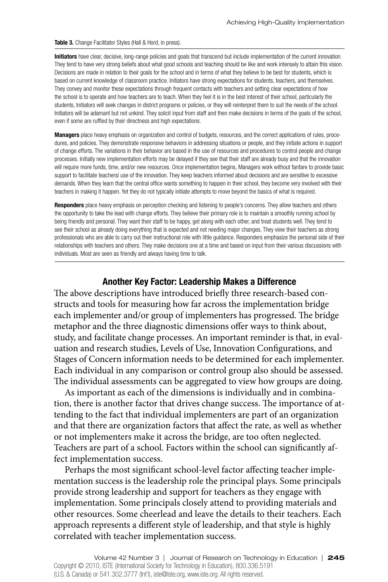Table 3. Change Facilitator Styles (Hall & Hord, in press).

Initiators have clear, decisive, long-range policies and goals that transcend but include implementation of the current innovation. They tend to have very strong beliefs about what good schools and teaching should be like and work intensely to attain this vision. Decisions are made in relation to their goals for the school and in terms of what they believe to be best for students, which is based on current knowledge of classroom practice. Initiators have strong expectations for students, teachers, and themselves. They convey and monitor these expectations through frequent contacts with teachers and setting clear expectations of how the school is to operate and how teachers are to teach. When they feel it is in the best interest of their school, particularly the students, Initiators will seek changes in district programs or policies, or they will reinterpret them to suit the needs of the school. Initiators will be adamant but not unkind. They solicit input from staff and then make decisions in terms of the goals of the school, even if some are ruffled by their directness and high expectations.

Managers place heavy emphasis on organization and control of budgets, resources, and the correct applications of rules, procedures, and policies. They demonstrate responsive behaviors in addressing situations or people, and they initiate actions in support of change efforts. The variations in their behavior are based in the use of resources and procedures to control people and change processes. Initially new implementation efforts may be delayed if they see that their staff are already busy and that the innovation will require more funds, time, and/or new resources. Once implementation begins, Managers work without fanfare to provide basic support to facilitate teachersí use of the innovation. They keep teachers informed about decisions and are sensitive to excessive demands. When they learn that the central office wants something to happen in their school, they become very involved with their teachers in making it happen. Yet they do not typically initiate attempts to move beyond the basics of what is required.

Responders place heavy emphasis on perception checking and listening to people's concerns. They allow teachers and others the opportunity to take the lead with change efforts. They believe their primary role is to maintain a smoothly running school by being friendly and personal. They want their staff to be happy, get along with each other, and treat students well. They tend to see their school as already doing everything that is expected and not needing major changes. They view their teachers as strong professionals who are able to carry out their instructional role with little guidance. Responders emphasize the personal side of their relationships with teachers and others. They make decisions one at a time and based on input from their various discussions with individuals. Most are seen as friendly and always having time to talk.

#### Another Key Factor: Leadership Makes a Difference

The above descriptions have introduced briefly three research-based constructs and tools for measuring how far across the implementation bridge each implementer and/or group of implementers has progressed. The bridge metaphor and the three diagnostic dimensions offer ways to think about, study, and facilitate change processes. An important reminder is that, in evaluation and research studies, Levels of Use, Innovation Configurations, and Stages of Concern information needs to be determined for each implementer. Each individual in any comparison or control group also should be assessed. The individual assessments can be aggregated to view how groups are doing.

As important as each of the dimensions is individually and in combination, there is another factor that drives change success. The importance of attending to the fact that individual implementers are part of an organization and that there are organization factors that affect the rate, as well as whether or not implementers make it across the bridge, are too often neglected. Teachers are part of a school. Factors within the school can significantly affect implementation success.

Perhaps the most significant school-level factor affecting teacher implementation success is the leadership role the principal plays. Some principals provide strong leadership and support for teachers as they engage with implementation. Some principals closely attend to providing materials and other resources. Some cheerlead and leave the details to their teachers. Each approach represents a different style of leadership, and that style is highly correlated with teacher implementation success.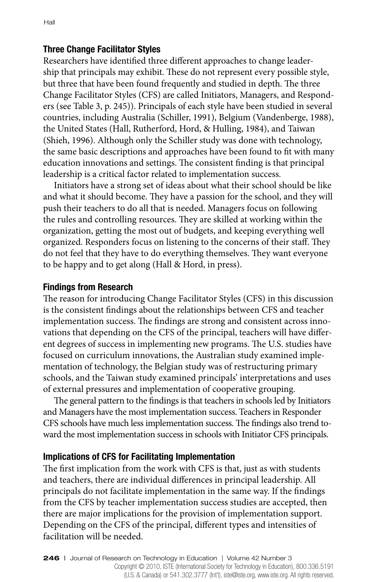### Three Change Facilitator Styles

Researchers have identified three different approaches to change leadership that principals may exhibit. These do not represent every possible style, but three that have been found frequently and studied in depth. The three Change Facilitator Styles (CFS) are called Initiators, Managers, and Responders (see Table 3, p. 245)). Principals of each style have been studied in several countries, including Australia (Schiller, 1991), Belgium (Vandenberge, 1988), the United States (Hall, Rutherford, Hord, & Hulling, 1984), and Taiwan (Shieh, 1996). Although only the Schiller study was done with technology, the same basic descriptions and approaches have been found to fit with many education innovations and settings. The consistent finding is that principal leadership is a critical factor related to implementation success.

Initiators have a strong set of ideas about what their school should be like and what it should become. They have a passion for the school, and they will push their teachers to do all that is needed. Managers focus on following the rules and controlling resources. They are skilled at working within the organization, getting the most out of budgets, and keeping everything well organized. Responders focus on listening to the concerns of their staff. They do not feel that they have to do everything themselves. They want everyone to be happy and to get along (Hall & Hord, in press).

### Findings from Research

The reason for introducing Change Facilitator Styles (CFS) in this discussion is the consistent findings about the relationships between CFS and teacher implementation success. The findings are strong and consistent across innovations that depending on the CFS of the principal, teachers will have different degrees of success in implementing new programs. The U.S. studies have focused on curriculum innovations, the Australian study examined implementation of technology, the Belgian study was of restructuring primary schools, and the Taiwan study examined principals' interpretations and uses of external pressures and implementation of cooperative grouping.

The general pattern to the findings is that teachers in schools led by Initiators and Managers have the most implementation success. Teachers in Responder CFS schools have much less implementation success. The findings also trend toward the most implementation success in schools with Initiator CFS principals.

### Implications of CFS for Facilitating Implementation

The first implication from the work with CFS is that, just as with students and teachers, there are individual differences in principal leadership. All principals do not facilitate implementation in the same way. If the findings from the CFS by teacher implementation success studies are accepted, then there are major implications for the provision of implementation support. Depending on the CFS of the principal, different types and intensities of facilitation will be needed.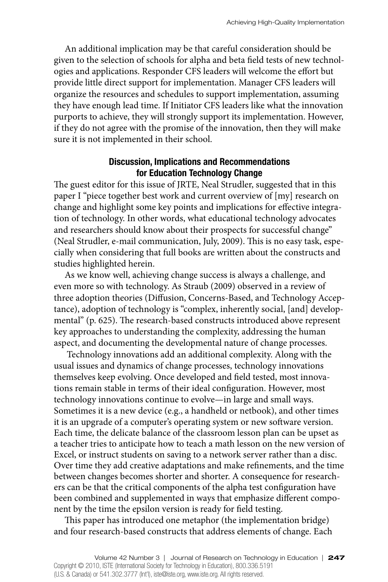An additional implication may be that careful consideration should be given to the selection of schools for alpha and beta field tests of new technologies and applications. Responder CFS leaders will welcome the effort but provide little direct support for implementation. Manager CFS leaders will organize the resources and schedules to support implementation, assuming they have enough lead time. If Initiator CFS leaders like what the innovation purports to achieve, they will strongly support its implementation. However, if they do not agree with the promise of the innovation, then they will make sure it is not implemented in their school.

### Discussion, Implications and Recommendations for Education Technology Change

The guest editor for this issue of JRTE, Neal Strudler, suggested that in this paper I "piece together best work and current overview of [my] research on change and highlight some key points and implications for effective integration of technology. In other words, what educational technology advocates and researchers should know about their prospects for successful change" (Neal Strudler, e-mail communication, July, 2009). This is no easy task, especially when considering that full books are written about the constructs and studies highlighted herein.

As we know well, achieving change success is always a challenge, and even more so with technology. As Straub (2009) observed in a review of three adoption theories (Diffusion, Concerns-Based, and Technology Acceptance), adoption of technology is "complex, inherently social, [and] developmental" (p. 625). The research-based constructs introduced above represent key approaches to understanding the complexity, addressing the human aspect, and documenting the developmental nature of change processes.

 Technology innovations add an additional complexity. Along with the usual issues and dynamics of change processes, technology innovations themselves keep evolving. Once developed and field tested, most innovations remain stable in terms of their ideal configuration. However, most technology innovations continue to evolve—in large and small ways. Sometimes it is a new device (e.g., a handheld or netbook), and other times it is an upgrade of a computer's operating system or new software version. Each time, the delicate balance of the classroom lesson plan can be upset as a teacher tries to anticipate how to teach a math lesson on the new version of Excel, or instruct students on saving to a network server rather than a disc. Over time they add creative adaptations and make refinements, and the time between changes becomes shorter and shorter. A consequence for researchers can be that the critical components of the alpha test configuration have been combined and supplemented in ways that emphasize different component by the time the epsilon version is ready for field testing.

This paper has introduced one metaphor (the implementation bridge) and four research-based constructs that address elements of change. Each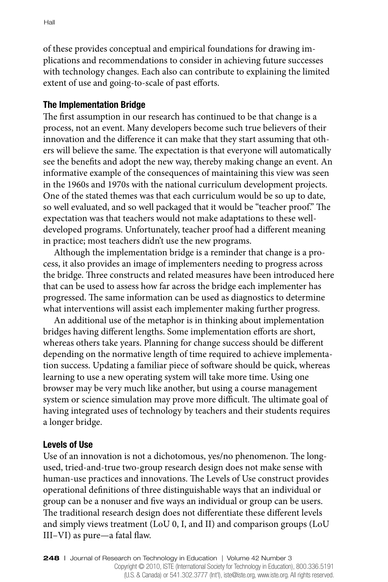of these provides conceptual and empirical foundations for drawing implications and recommendations to consider in achieving future successes with technology changes. Each also can contribute to explaining the limited extent of use and going-to-scale of past efforts.

### The Implementation Bridge

The first assumption in our research has continued to be that change is a process, not an event. Many developers become such true believers of their innovation and the difference it can make that they start assuming that others will believe the same. The expectation is that everyone will automatically see the benefits and adopt the new way, thereby making change an event. An informative example of the consequences of maintaining this view was seen in the 1960s and 1970s with the national curriculum development projects. One of the stated themes was that each curriculum would be so up to date, so well evaluated, and so well packaged that it would be "teacher proof." The expectation was that teachers would not make adaptations to these welldeveloped programs. Unfortunately, teacher proof had a different meaning in practice; most teachers didn't use the new programs.

Although the implementation bridge is a reminder that change is a process, it also provides an image of implementers needing to progress across the bridge. Three constructs and related measures have been introduced here that can be used to assess how far across the bridge each implementer has progressed. The same information can be used as diagnostics to determine what interventions will assist each implementer making further progress.

An additional use of the metaphor is in thinking about implementation bridges having different lengths. Some implementation efforts are short, whereas others take years. Planning for change success should be different depending on the normative length of time required to achieve implementation success. Updating a familiar piece of software should be quick, whereas learning to use a new operating system will take more time. Using one browser may be very much like another, but using a course management system or science simulation may prove more difficult. The ultimate goal of having integrated uses of technology by teachers and their students requires a longer bridge.

# Levels of Use

Use of an innovation is not a dichotomous, yes/no phenomenon. The longused, tried-and-true two-group research design does not make sense with human-use practices and innovations. The Levels of Use construct provides operational definitions of three distinguishable ways that an individual or group can be a nonuser and five ways an individual or group can be users. The traditional research design does not differentiate these different levels and simply views treatment (LoU 0, I, and II) and comparison groups (LoU III–VI) as pure—a fatal flaw.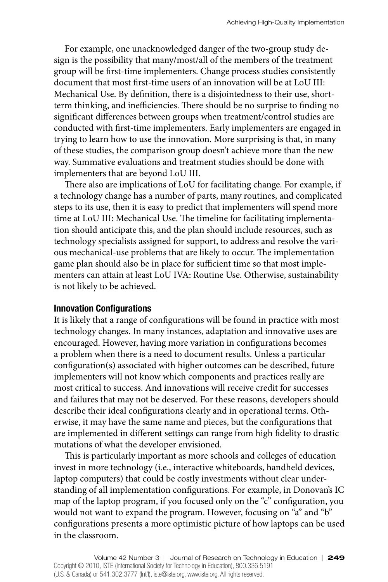For example, one unacknowledged danger of the two-group study design is the possibility that many/most/all of the members of the treatment group will be first-time implementers. Change process studies consistently document that most first-time users of an innovation will be at LoU III: Mechanical Use. By definition, there is a disjointedness to their use, shortterm thinking, and inefficiencies. There should be no surprise to finding no significant differences between groups when treatment/control studies are conducted with first-time implementers. Early implementers are engaged in trying to learn how to use the innovation. More surprising is that, in many of these studies, the comparison group doesn't achieve more than the new way. Summative evaluations and treatment studies should be done with implementers that are beyond LoU III.

There also are implications of LoU for facilitating change. For example, if a technology change has a number of parts, many routines, and complicated steps to its use, then it is easy to predict that implementers will spend more time at LoU III: Mechanical Use. The timeline for facilitating implementation should anticipate this, and the plan should include resources, such as technology specialists assigned for support, to address and resolve the various mechanical-use problems that are likely to occur. The implementation game plan should also be in place for sufficient time so that most implementers can attain at least LoU IVA: Routine Use. Otherwise, sustainability is not likely to be achieved.

### Innovation Configurations

It is likely that a range of configurations will be found in practice with most technology changes. In many instances, adaptation and innovative uses are encouraged. However, having more variation in configurations becomes a problem when there is a need to document results. Unless a particular configuration(s) associated with higher outcomes can be described, future implementers will not know which components and practices really are most critical to success. And innovations will receive credit for successes and failures that may not be deserved. For these reasons, developers should describe their ideal configurations clearly and in operational terms. Otherwise, it may have the same name and pieces, but the configurations that are implemented in different settings can range from high fidelity to drastic mutations of what the developer envisioned.

This is particularly important as more schools and colleges of education invest in more technology (i.e., interactive whiteboards, handheld devices, laptop computers) that could be costly investments without clear understanding of all implementation configurations. For example, in Donovan's IC map of the laptop program, if you focused only on the "c" configuration, you would not want to expand the program. However, focusing on "a" and "b" configurations presents a more optimistic picture of how laptops can be used in the classroom.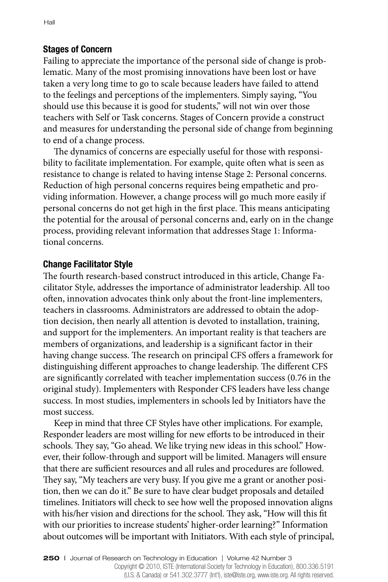# Stages of Concern

Failing to appreciate the importance of the personal side of change is problematic. Many of the most promising innovations have been lost or have taken a very long time to go to scale because leaders have failed to attend to the feelings and perceptions of the implementers. Simply saying, "You should use this because it is good for students," will not win over those teachers with Self or Task concerns. Stages of Concern provide a construct and measures for understanding the personal side of change from beginning to end of a change process.

The dynamics of concerns are especially useful for those with responsibility to facilitate implementation. For example, quite often what is seen as resistance to change is related to having intense Stage 2: Personal concerns. Reduction of high personal concerns requires being empathetic and providing information. However, a change process will go much more easily if personal concerns do not get high in the first place. This means anticipating the potential for the arousal of personal concerns and, early on in the change process, providing relevant information that addresses Stage 1: Informational concerns.

### Change Facilitator Style

The fourth research-based construct introduced in this article, Change Facilitator Style, addresses the importance of administrator leadership. All too often, innovation advocates think only about the front-line implementers, teachers in classrooms. Administrators are addressed to obtain the adoption decision, then nearly all attention is devoted to installation, training, and support for the implementers. An important reality is that teachers are members of organizations, and leadership is a significant factor in their having change success. The research on principal CFS offers a framework for distinguishing different approaches to change leadership. The different CFS are significantly correlated with teacher implementation success (0.76 in the original study). Implementers with Responder CFS leaders have less change success. In most studies, implementers in schools led by Initiators have the most success.

Keep in mind that three CF Styles have other implications. For example, Responder leaders are most willing for new efforts to be introduced in their schools. They say, "Go ahead. We like trying new ideas in this school." However, their follow-through and support will be limited. Managers will ensure that there are sufficient resources and all rules and procedures are followed. They say, "My teachers are very busy. If you give me a grant or another position, then we can do it." Be sure to have clear budget proposals and detailed timelines. Initiators will check to see how well the proposed innovation aligns with his/her vision and directions for the school. They ask, "How will this fit with our priorities to increase students' higher-order learning?" Information about outcomes will be important with Initiators. With each style of principal,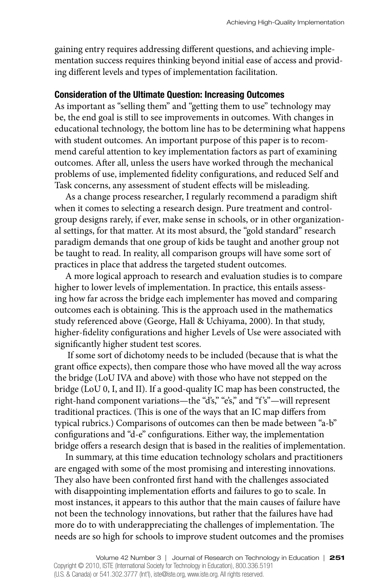gaining entry requires addressing different questions, and achieving implementation success requires thinking beyond initial ease of access and providing different levels and types of implementation facilitation.

### Consideration of the Ultimate Question: Increasing Outcomes

As important as "selling them" and "getting them to use" technology may be, the end goal is still to see improvements in outcomes. With changes in educational technology, the bottom line has to be determining what happens with student outcomes. An important purpose of this paper is to recommend careful attention to key implementation factors as part of examining outcomes. After all, unless the users have worked through the mechanical problems of use, implemented fidelity configurations, and reduced Self and Task concerns, any assessment of student effects will be misleading.

As a change process researcher, I regularly recommend a paradigm shift when it comes to selecting a research design. Pure treatment and controlgroup designs rarely, if ever, make sense in schools, or in other organizational settings, for that matter. At its most absurd, the "gold standard" research paradigm demands that one group of kids be taught and another group not be taught to read. In reality, all comparison groups will have some sort of practices in place that address the targeted student outcomes.

A more logical approach to research and evaluation studies is to compare higher to lower levels of implementation. In practice, this entails assessing how far across the bridge each implementer has moved and comparing outcomes each is obtaining. This is the approach used in the mathematics study referenced above (George, Hall & Uchiyama, 2000). In that study, higher-fidelity configurations and higher Levels of Use were associated with significantly higher student test scores.

 If some sort of dichotomy needs to be included (because that is what the grant office expects), then compare those who have moved all the way across the bridge (LoU IVA and above) with those who have not stepped on the bridge (LoU 0, I, and II). If a good-quality IC map has been constructed, the right-hand component variations—the "d's," "e's," and "f's"—will represent traditional practices. (This is one of the ways that an IC map differs from typical rubrics.) Comparisons of outcomes can then be made between "a-b" configurations and "d-e" configurations. Either way, the implementation bridge offers a research design that is based in the realities of implementation.

In summary, at this time education technology scholars and practitioners are engaged with some of the most promising and interesting innovations. They also have been confronted first hand with the challenges associated with disappointing implementation efforts and failures to go to scale. In most instances, it appears to this author that the main causes of failure have not been the technology innovations, but rather that the failures have had more do to with underappreciating the challenges of implementation. The needs are so high for schools to improve student outcomes and the promises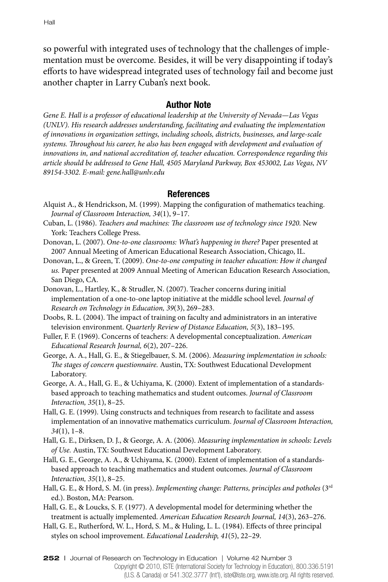so powerful with integrated uses of technology that the challenges of implementation must be overcome. Besides, it will be very disappointing if today's efforts to have widespread integrated uses of technology fail and become just another chapter in Larry Cuban's next book.

#### Author Note

*Gene E. Hall is a professor of educational leadership at the University of Nevada—Las Vegas (UNLV). His research addresses understanding, facilitating and evaluating the implementation of innovations in organization settings, including schools, districts, businesses, and large-scale systems. Throughout his career, he also has been engaged with development and evaluation of innovations in, and national accreditation of, teacher education. Correspondence regarding this article should be addressed to Gene Hall, 4505 Maryland Parkway, Box 453002, Las Vegas, NV 89154-3302. E-mail: gene.hall@unlv.edu*

### References

- Alquist A., & Hendrickson, M. (1999). Mapping the configuration of mathematics teaching. *Journal of Classroom Interaction, 34*(1), 9–17.
- Cuban, L. (1986). *Teachers and machines: The classroom use of technology since 1920.* New York: Teachers College Press.
- Donovan, L. (2007). *One-to-one classrooms: What's happening in there?* Paper presented at 2007 Annual Meeting of American Educational Research Association, Chicago, IL.
- Donovan, L., & Green, T. (2009). *One-to-one computing in teacher education: How it changed us.* Paper presented at 2009 Annual Meeting of American Education Research Association, San Diego, CA.

Donovan, L., Hartley, K., & Strudler, N. (2007). Teacher concerns during initial implementation of a one-to-one laptop initiative at the middle school level. *Journal of Research on Technology in Education, 39*(3), 269–283.

Doobs, R. L. (2004). The impact of training on faculty and administrators in an interative television environment. *Quarterly Review of Distance Education, 5*(3), 183–195.

Fuller, F. F. (1969). Concerns of teachers: A developmental conceptualization. *American Educational Research Journal, 6*(2), 207–226.

George, A. A., Hall, G. E., & Stiegelbauer, S. M. (2006). *Measuring implementation in schools: The stages of concern questionnaire.* Austin, TX: Southwest Educational Development Laboratory.

George, A. A., Hall, G. E., & Uchiyama, K. (2000). Extent of implementation of a standardsbased approach to teaching mathematics and student outcomes. *Journal of Classroom Interaction, 35*(1), 8–25.

Hall, G. E. (1999). Using constructs and techniques from research to facilitate and assess implementation of an innovative mathematics curriculum. *Journal of Classroom Interaction, 34*(1), 1–8.

Hall, G. E., Dirksen, D. J., & George, A. A. (2006). *Measuring implementation in schools: Levels of Use.* Austin, TX: Southwest Educational Development Laboratory.

Hall, G. E., George, A. A., & Uchiyama, K. (2000). Extent of implementation of a standardsbased approach to teaching mathematics and student outcomes. *Journal of Classroom Interaction, 35*(1), 8–25.

Hall, G. E., & Hord, S. M. (in press). *Implementing change: Patterns, principles and potholes* (3rd ed.). Boston, MA: Pearson.

Hall, G. E., & Loucks, S. F. (1977). A developmental model for determining whether the treatment is actually implemented. *American Education Research Journal, 14*(3), 263–276.

Hall, G. E., Rutherford, W. L., Hord, S. M., & Huling, L. L. (1984). Effects of three principal styles on school improvement. *Educational Leadership, 41*(5), 22–29.

(U.S. & Canada) or 541.302.3777 (Int'l), iste@iste.org, www.iste.org. All rights reserved.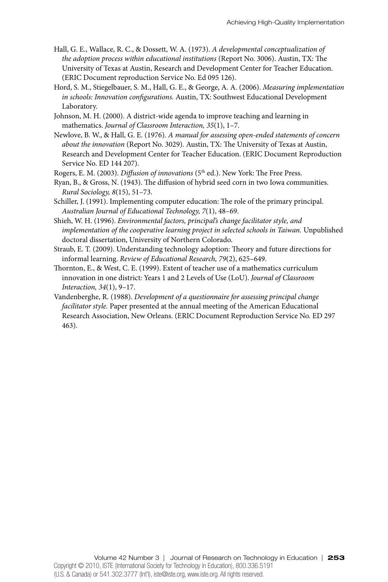- Hall, G. E., Wallace, R. C., & Dossett, W. A. (1973). *A developmental conceptualization of the adoption process within educational institutions* (Report No. 3006). Austin, TX: The University of Texas at Austin, Research and Development Center for Teacher Education. (ERIC Document reproduction Service No. Ed 095 126).
- Hord, S. M., Stiegelbauer, S. M., Hall, G. E., & George, A. A. (2006). *Measuring implementation in schools: Innovation configurations.* Austin, TX: Southwest Educational Development Laboratory.
- Johnson, M. H. (2000). A district-wide agenda to improve teaching and learning in mathematics. *Journal of Classroom Interaction, 35*(1), 1–7.
- Newlove, B. W., & Hall, G. E. (1976). *A manual for assessing open-ended statements of concern about the innovation* (Report No. 3029). Austin, TX: The University of Texas at Austin, Research and Development Center for Teacher Education. (ERIC Document Reproduction Service No. ED 144 207).
- Rogers, E. M. (2003). *Diffusion of innovations* (5<sup>th</sup> ed.). New York: The Free Press.
- Ryan, B., & Gross, N. (1943). The diffusion of hybrid seed corn in two Iowa communities. *Rural Sociology, 8*(15), 51–73.
- Schiller, J. (1991). Implementing computer education: The role of the primary principal. *Australian Journal of Educational Technology, 7*(1), 48–69.
- Shieh, W. H. (1996). *Environmental factors, principal's change facilitator style, and implementation of the cooperative learning project in selected schools in Taiwan.* Unpublished doctoral dissertation, University of Northern Colorado.
- Straub, E. T. (2009). Understanding technology adoption: Theory and future directions for informal learning. *Review of Educational Research, 79*(2), 625–649.
- Thornton, E., & West, C. E. (1999). Extent of teacher use of a mathematics curriculum innovation in one district: Years 1 and 2 Levels of Use (LoU). *Journal of Classroom Interaction, 34*(1), 9–17.
- Vandenberghe, R. (1988). *Development of a questionnaire for assessing principal change facilitator style.* Paper presented at the annual meeting of the American Educational Research Association, New Orleans. (ERIC Document Reproduction Service No. ED 297 463).